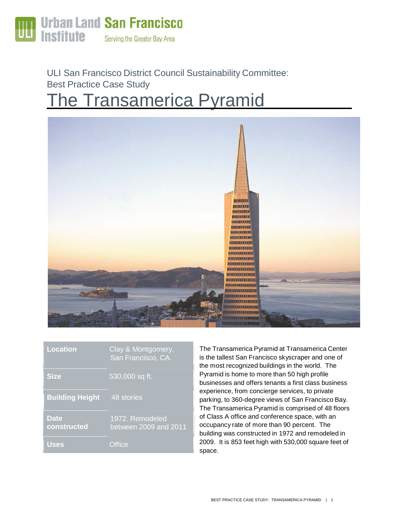

ULI San Francisco District Council Sustainability Committee: Best Practice Case Study

# **The Transamerica Pyramid**



| <b>Location</b>            | Clay & Montgomery,<br>San Francisco, CA. |
|----------------------------|------------------------------------------|
| <b>Size</b>                | 530,000 sq ft.                           |
| <b>Building Height</b>     | 48 stories                               |
| <b>Date</b><br>constructed | 1972. Remodeled<br>between 2009 and 2011 |
| <b>Uses</b>                | Office                                   |

The Transamerica Pyramid at Transamerica Center is the tallest San Francisco skyscraper and one of the most recognized buildings in the world. The Pyramid is home to more than 50 high profile businesses and offers tenants a first class business experience, from concierge services, to private parking, to 360-degree views of San Francisco Bay. The Transamerica Pyramid is comprised of 48 floors of Class A office and conference space, with an occupancy rate of more than 90 percent. The building was constructed in 1972 and remodeled in 2009. It is 853 feet high with 530,000 square feet of space.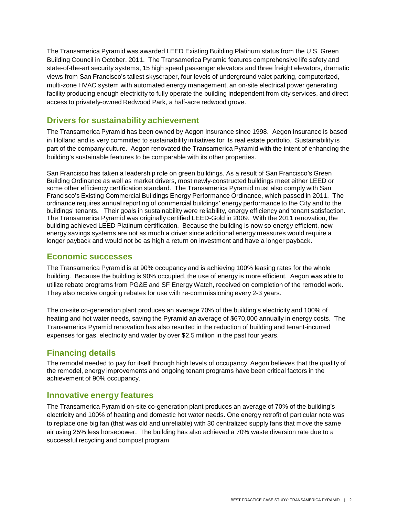The Transamerica Pyramid was awarded LEED Existing Building Platinum status from the U.S. Green Building Council in October, 2011. The Transamerica Pyramid features comprehensive life safety and state-of-the-art security systems, 15 high speed passenger elevators and three freight elevators, dramatic views from San Francisco's tallest skyscraper, four levels of underground valet parking, computerized, multi-zone HVAC system with automated energy management, an on-site electrical power generating facility producing enough electricity to fully operate the building independent from city services, and direct access to privately-owned Redwood Park, a half-acre redwood grove.

#### **Drivers for sustainability achievement**

The Transamerica Pyramid has been owned by Aegon Insurance since 1998. Aegon Insurance is based in Holland and is very committed to sustainability initiatives for its real estate portfolio. Sustainability is part of the company culture. Aegon renovated the Transamerica Pyramid with the intent of enhancing the building's sustainable features to be comparable with its other properties.

San Francisco has taken a leadership role on green buildings. As a result of San Francisco's Green Building Ordinance as well as market drivers, most newly-constructed buildings meet either LEED or some other efficiency certification standard. The Transamerica Pyramid must also comply with San Francisco's Existing Commercial Buildings Energy Performance Ordinance, which passed in 2011. The ordinance requires annual reporting of commercial buildings' energy performance to the City and to the buildings' tenants. Their goals in sustainability were reliability, energy efficiency and tenant satisfaction. The Transamerica Pyramid was originally certified LEED-Gold in 2009. With the 2011 renovation, the building achieved LEED Platinum certification. Because the building is now so energy efficient, new energy savings systems are not as much a driver since additional energy measures would require a longer payback and would not be as high a return on investment and have a longer payback.

#### **Economic successes**

The Transamerica Pyramid is at 90% occupancy and is achieving 100% leasing rates for the whole building. Because the building is 90% occupied, the use of energy is more efficient. Aegon was able to utilize rebate programs from PG&E and SF Energy Watch, received on completion of the remodel work. They also receive ongoing rebates for use with re-commissioning every 2-3 years.

The on-site co-generation plant produces an average 70% of the building's electricity and 100% of heating and hot water needs, saving the Pyramid an average of \$670,000 annually in energy costs. The Transamerica Pyramid renovation has also resulted in the reduction of building and tenant-incurred expenses for gas, electricity and water by over \$2.5 million in the past four years.

#### **Financing details**

The remodel needed to pay for itself through high levels of occupancy. Aegon believes that the quality of the remodel, energy improvements and ongoing tenant programs have been critical factors in the achievement of 90% occupancy.

#### **Innovative energy features**

The Transamerica Pyramid on-site co-generation plant produces an average of 70% of the building's electricity and 100% of heating and domestic hot water needs. One energy retrofit of particular note was to replace one big fan (that was old and unreliable) with 30 centralized supply fans that move the same air using 25% less horsepower. The building has also achieved a 70% waste diversion rate due to a successful recycling and compost program